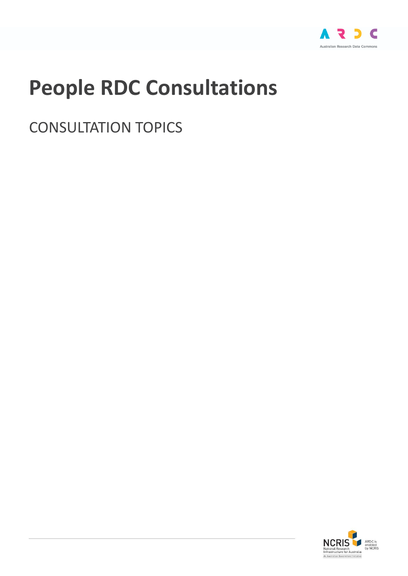

# **People RDC Consultations**

CONSULTATION TOPICS

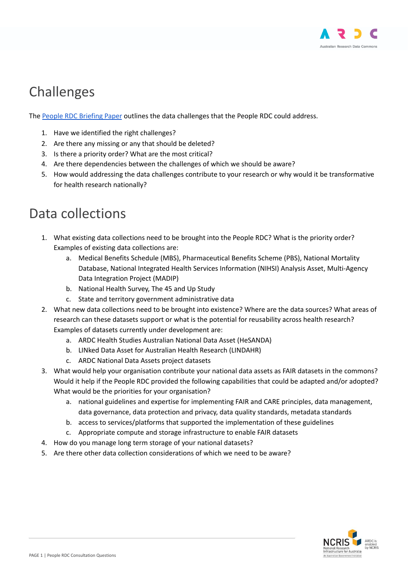

### Challenges

The People RDC [Briefing](https://docs.google.com/document/d/18F3v_xFDlINLYgjlLtkPdJy630z70gv9Ty2V7uPVyHk/edit?usp=sharing) Paper outlines the data challenges that the People RDC could address.

- 1. Have we identified the right challenges?
- 2. Are there any missing or any that should be deleted?
- 3. Is there a priority order? What are the most critical?
- 4. Are there dependencies between the challenges of which we should be aware?
- 5. How would addressing the data challenges contribute to your research or why would it be transformative for health research nationally?

#### Data collections

- 1. What existing data collections need to be brought into the People RDC? What is the priority order? Examples of existing data collections are:
	- a. Medical Benefits Schedule (MBS), Pharmaceutical Benefits Scheme (PBS), National Mortality Database, National Integrated Health Services Information (NIHSI) Analysis Asset, Multi-Agency Data Integration Project (MADIP)
	- b. National Health Survey, The 45 and Up Study
	- c. State and territory government administrative data
- 2. What new data collections need to be brought into existence? Where are the data sources? What areas of research can these datasets support or what is the potential for reusability across health research? Examples of datasets currently under development are:
	- a. ARDC Health Studies Australian National Data Asset (HeSANDA)
	- b. LINked Data Asset for Australian Health Research (LINDAHR)
	- c. ARDC National Data Assets project datasets
- 3. What would help your organisation contribute your national data assets as FAIR datasets in the commons? Would it help if the People RDC provided the following capabilities that could be adapted and/or adopted? What would be the priorities for your organisation?
	- a. national guidelines and expertise for implementing FAIR and CARE principles, data management, data governance, data protection and privacy, data quality standards, metadata standards
	- b. access to services/platforms that supported the implementation of these guidelines
	- c. Appropriate compute and storage infrastructure to enable FAIR datasets
- 4. How do you manage long term storage of your national datasets?
- 5. Are there other data collection considerations of which we need to be aware?